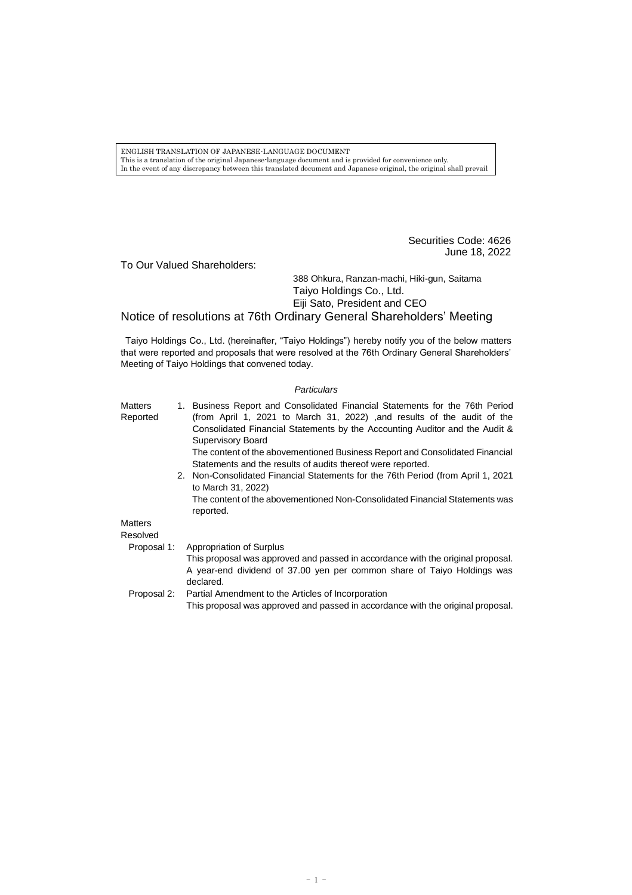ENGLISH TRANSLATION OF JAPANESE-LANGUAGE DOCUMENT This is a translation of the original Japanese-language document and is provided for convenience only. In the event of any discrepancy between this translated document and Japanese original, the original shall prevail

> Securities Code: 4626 June 18, 2022

To Our Valued Shareholders:

388 Ohkura, Ranzan-machi, Hiki-gun, Saitama Taiyo Holdings Co., Ltd. Eiji Sato, President and CEO

Notice of resolutions at 76th Ordinary General Shareholders' Meeting

Taiyo Holdings Co., Ltd. (hereinafter, "Taiyo Holdings") hereby notify you of the below matters that were reported and proposals that were resolved at the 76th Ordinary General Shareholders' Meeting of Taiyo Holdings that convened today.

## *Particulars*

| <b>Matters</b><br>Reported | 1. Business Report and Consolidated Financial Statements for the 76th Period<br>(from April 1, 2021 to March 31, 2022) ,and results of the audit of the<br>Consolidated Financial Statements by the Accounting Auditor and the Audit &<br><b>Supervisory Board</b><br>The content of the abovementioned Business Report and Consolidated Financial |
|----------------------------|----------------------------------------------------------------------------------------------------------------------------------------------------------------------------------------------------------------------------------------------------------------------------------------------------------------------------------------------------|
|                            | Statements and the results of audits thereof were reported.                                                                                                                                                                                                                                                                                        |
|                            | 2. Non-Consolidated Financial Statements for the 76th Period (from April 1, 2021<br>to March 31, 2022)                                                                                                                                                                                                                                             |
|                            | The content of the abovementioned Non-Consolidated Financial Statements was<br>reported.                                                                                                                                                                                                                                                           |
| <b>Matters</b>             |                                                                                                                                                                                                                                                                                                                                                    |
| Resolved                   |                                                                                                                                                                                                                                                                                                                                                    |
| Proposal 1:                | <b>Appropriation of Surplus</b>                                                                                                                                                                                                                                                                                                                    |
|                            | This proposal was approved and passed in accordance with the original proposal.                                                                                                                                                                                                                                                                    |
|                            | A year-end dividend of 37.00 yen per common share of Taiyo Holdings was<br>declared.                                                                                                                                                                                                                                                               |
| Proposal 2:                | Partial Amendment to the Articles of Incorporation                                                                                                                                                                                                                                                                                                 |

This proposal was approved and passed in accordance with the original proposal.